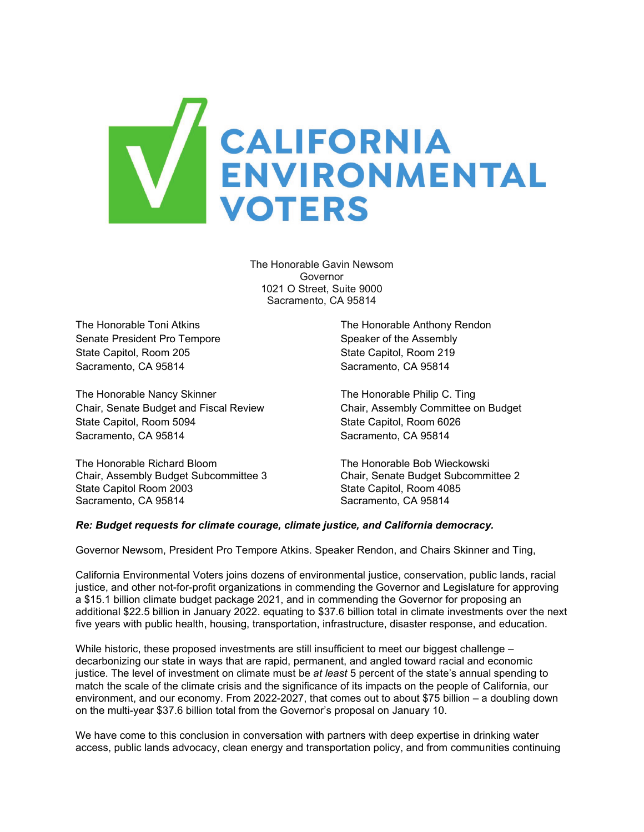

The Honorable Gavin Newsom Governor 1021 O Street, Suite 9000 Sacramento, CA 95814

Senate President Pro Tempore Senate of the Assembly State Capitol, Room 205 State Capitol, Room 219 Sacramento, CA 95814 Sacramento, CA 95814

The Honorable Nancy Skinner The Honorable Philip C. Ting Chair, Senate Budget and Fiscal Review Chair, Assembly Committee on Budget State Capitol, Room 5094 State Capitol, Room 6026 Sacramento, CA 95814 Sacramento, CA 95814

The Honorable Richard Bloom **The Honorable Bob Wieckowski**<br>Chair. Assembly Budget Subcommittee 3 Chair. Senate Budget Subcommittee 2 Chair, Assembly Budget Subcommittee 3<br>State Capitol Room 2003 Sacramento, CA 95814 Sacramento, CA 95814

The Honorable Toni Atkins The Honorable Anthony Rendon

State Capitol, Room 4085

#### *Re: Budget requests for climate courage, climate justice, and California democracy.*

Governor Newsom, President Pro Tempore Atkins. Speaker Rendon, and Chairs Skinner and Ting,

California Environmental Voters joins dozens of environmental justice, conservation, public lands, racial justice, and other not-for-profit organizations in commending the Governor and Legislature for approving a \$15.1 billion climate budget package 2021, and in commending the Governor for proposing an additional \$22.5 billion in January 2022. equating to \$37.6 billion total in climate investments over the next five years with public health, housing, transportation, infrastructure, disaster response, and education.

While historic, these proposed investments are still insufficient to meet our biggest challenge decarbonizing our state in ways that are rapid, permanent, and angled toward racial and economic justice. The level of investment on climate must be *at least* 5 percent of the state's annual spending to match the scale of the climate crisis and the significance of its impacts on the people of California, our environment, and our economy. From 2022-2027, that comes out to about \$75 billion – a doubling down on the multi-year \$37.6 billion total from the Governor's proposal on January 10.

We have come to this conclusion in conversation with partners with deep expertise in drinking water access, public lands advocacy, clean energy and transportation policy, and from communities continuing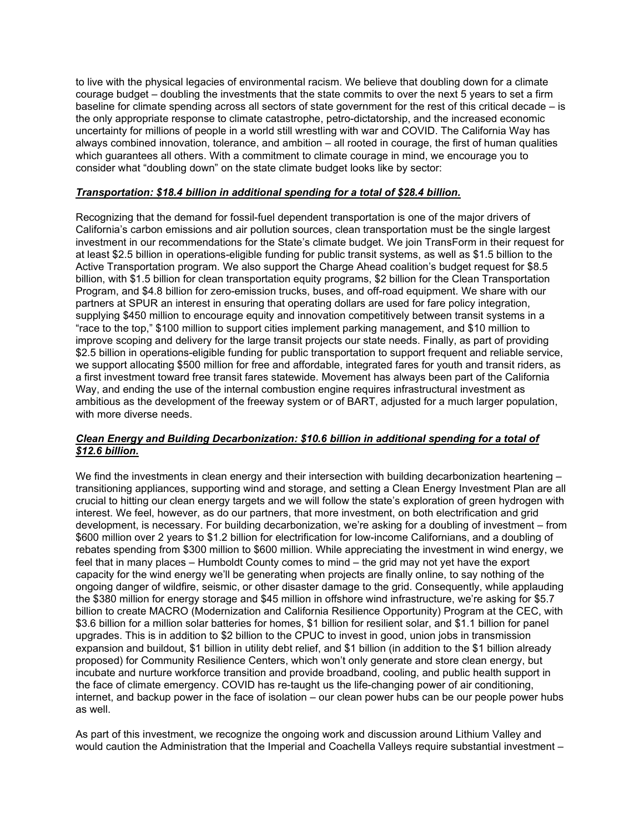to live with the physical legacies of environmental racism. We believe that doubling down for a climate courage budget – doubling the investments that the state commits to over the next 5 years to set a firm baseline for climate spending across all sectors of state government for the rest of this critical decade – is the only appropriate response to climate catastrophe, petro-dictatorship, and the increased economic uncertainty for millions of people in a world still wrestling with war and COVID. The California Way has always combined innovation, tolerance, and ambition – all rooted in courage, the first of human qualities which guarantees all others. With a commitment to climate courage in mind, we encourage you to consider what "doubling down" on the state climate budget looks like by sector:

### *Transportation: \$18.4 billion in additional spending for a total of \$28.4 billion.*

Recognizing that the demand for fossil-fuel dependent transportation is one of the major drivers of California's carbon emissions and air pollution sources, clean transportation must be the single largest investment in our recommendations for the State's climate budget. We join TransForm in their request for at least \$2.5 billion in operations-eligible funding for public transit systems, as well as \$1.5 billion to the Active Transportation program. We also support the Charge Ahead coalition's budget request for \$8.5 billion, with \$1.5 billion for clean transportation equity programs, \$2 billion for the Clean Transportation Program, and \$4.8 billion for zero-emission trucks, buses, and off-road equipment. We share with our partners at SPUR an interest in ensuring that operating dollars are used for fare policy integration, supplying \$450 million to encourage equity and innovation competitively between transit systems in a "race to the top," \$100 million to support cities implement parking management, and \$10 million to improve scoping and delivery for the large transit projects our state needs. Finally, as part of providing \$2.5 billion in operations-eligible funding for public transportation to support frequent and reliable service, we support allocating \$500 million for free and affordable, integrated fares for youth and transit riders, as a first investment toward free transit fares statewide. Movement has always been part of the California Way, and ending the use of the internal combustion engine requires infrastructural investment as ambitious as the development of the freeway system or of BART, adjusted for a much larger population, with more diverse needs.

### *Clean Energy and Building Decarbonization: \$10.6 billion in additional spending for a total of \$12.6 billion.*

We find the investments in clean energy and their intersection with building decarbonization heartening – transitioning appliances, supporting wind and storage, and setting a Clean Energy Investment Plan are all crucial to hitting our clean energy targets and we will follow the state's exploration of green hydrogen with interest. We feel, however, as do our partners, that more investment, on both electrification and grid development, is necessary. For building decarbonization, we're asking for a doubling of investment – from \$600 million over 2 years to \$1.2 billion for electrification for low-income Californians, and a doubling of rebates spending from \$300 million to \$600 million. While appreciating the investment in wind energy, we feel that in many places – Humboldt County comes to mind – the grid may not yet have the export capacity for the wind energy we'll be generating when projects are finally online, to say nothing of the ongoing danger of wildfire, seismic, or other disaster damage to the grid. Consequently, while applauding the \$380 million for energy storage and \$45 million in offshore wind infrastructure, we're asking for \$5.7 billion to create MACRO (Modernization and California Resilience Opportunity) Program at the CEC, with \$3.6 billion for a million solar batteries for homes, \$1 billion for resilient solar, and \$1.1 billion for panel upgrades. This is in addition to \$2 billion to the CPUC to invest in good, union jobs in transmission expansion and buildout, \$1 billion in utility debt relief, and \$1 billion (in addition to the \$1 billion already proposed) for Community Resilience Centers, which won't only generate and store clean energy, but incubate and nurture workforce transition and provide broadband, cooling, and public health support in the face of climate emergency. COVID has re-taught us the life-changing power of air conditioning, internet, and backup power in the face of isolation – our clean power hubs can be our people power hubs as well.

As part of this investment, we recognize the ongoing work and discussion around Lithium Valley and would caution the Administration that the Imperial and Coachella Valleys require substantial investment -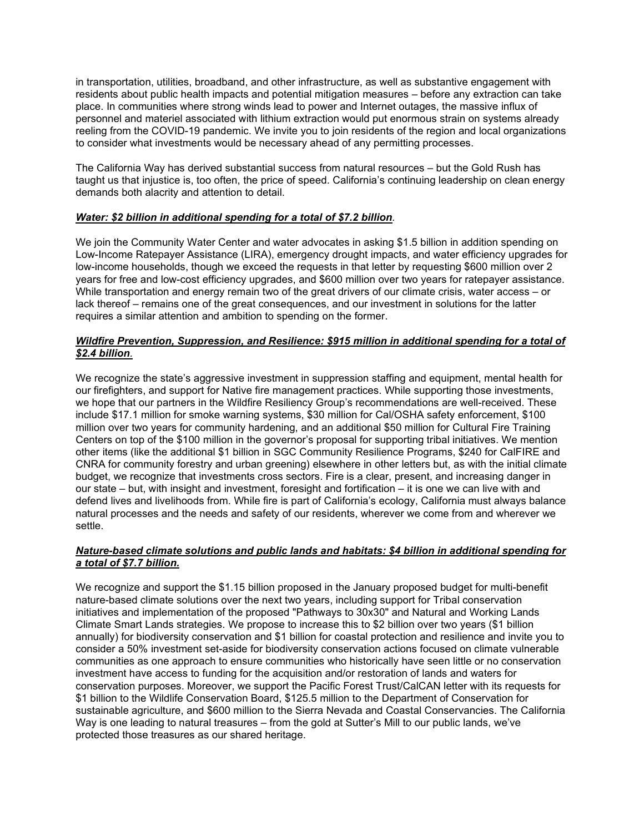in transportation, utilities, broadband, and other infrastructure, as well as substantive engagement with residents about public health impacts and potential mitigation measures – before any extraction can take place. In communities where strong winds lead to power and Internet outages, the massive influx of personnel and materiel associated with lithium extraction would put enormous strain on systems already reeling from the COVID-19 pandemic. We invite you to join residents of the region and local organizations to consider what investments would be necessary ahead of any permitting processes.

The California Way has derived substantial success from natural resources – but the Gold Rush has taught us that injustice is, too often, the price of speed. California's continuing leadership on clean energy demands both alacrity and attention to detail.

## *Water: \$2 billion in additional spending for a total of \$7.2 billion.*

We join the Community Water Center and water advocates in asking \$1.5 billion in addition spending on Low-Income Ratepayer Assistance (LIRA), emergency drought impacts, and water efficiency upgrades for low-income households, though we exceed the requests in that letter by requesting \$600 million over 2 years for free and low-cost efficiency upgrades, and \$600 million over two years for ratepayer assistance. While transportation and energy remain two of the great drivers of our climate crisis, water access – or lack thereof – remains one of the great consequences, and our investment in solutions for the latter requires a similar attention and ambition to spending on the former.

# *Wildfire Prevention, Suppression, and Resilience: \$915 million in additional spending for a total of \$2.4 billion.*

We recognize the state's aggressive investment in suppression staffing and equipment, mental health for our firefighters, and support for Native fire management practices. While supporting those investments, we hope that our partners in the Wildfire Resiliency Group's recommendations are well-received. These include \$17.1 million for smoke warning systems, \$30 million for Cal/OSHA safety enforcement, \$100 million over two years for community hardening, and an additional \$50 million for Cultural Fire Training Centers on top of the \$100 million in the governor's proposal for supporting tribal initiatives. We mention other items (like the additional \$1 billion in SGC Community Resilience Programs, \$240 for CalFIRE and CNRA for community forestry and urban greening) elsewhere in other letters but, as with the initial climate budget, we recognize that investments cross sectors. Fire is a clear, present, and increasing danger in our state – but, with insight and investment, foresight and fortification – it is one we can live with and defend lives and livelihoods from. While fire is part of California's ecology, California must always balance natural processes and the needs and safety of our residents, wherever we come from and wherever we settle.

# *Nature-based climate solutions and public lands and habitats: \$4 billion in additional spending for a total of \$7.7 billion.*

We recognize and support the \$1.15 billion proposed in the January proposed budget for multi-benefit nature-based climate solutions over the next two years, including support for Tribal conservation initiatives and implementation of the proposed "Pathways to 30x30" and Natural and Working Lands Climate Smart Lands strategies. We propose to increase this to \$2 billion over two years (\$1 billion annually) for biodiversity conservation and \$1 billion for coastal protection and resilience and invite you to consider a 50% investment set-aside for biodiversity conservation actions focused on climate vulnerable communities as one approach to ensure communities who historically have seen little or no conservation investment have access to funding for the acquisition and/or restoration of lands and waters for conservation purposes. Moreover, we support the Pacific Forest Trust/CalCAN letter with its requests for \$1 billion to the Wildlife Conservation Board, \$125.5 million to the Department of Conservation for sustainable agriculture, and \$600 million to the Sierra Nevada and Coastal Conservancies. The California Way is one leading to natural treasures – from the gold at Sutter's Mill to our public lands, we've protected those treasures as our shared heritage.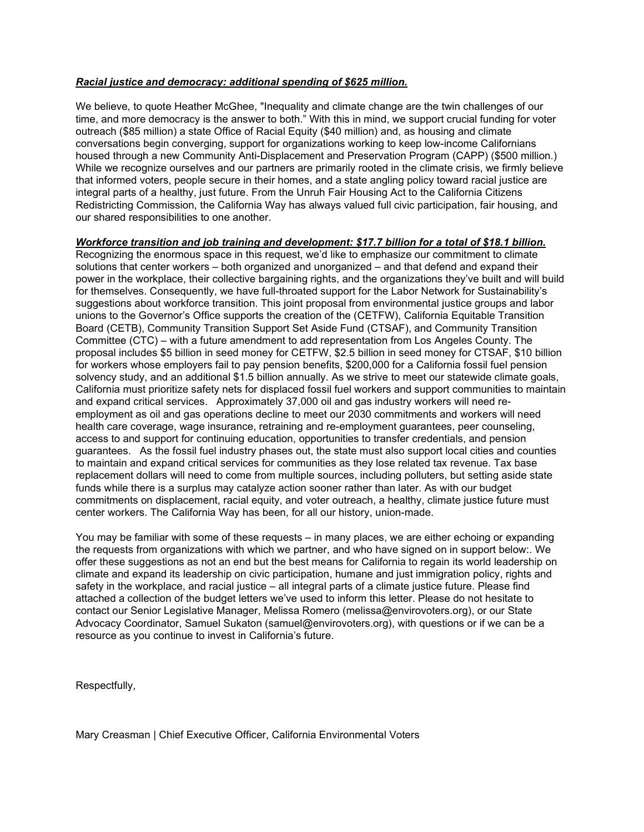## *Racial justice and democracy: additional spending of \$625 million.*

We believe, to quote Heather McGhee, "Inequality and climate change are the twin challenges of our time, and more democracy is the answer to both." With this in mind, we support crucial funding for voter outreach (\$85 million) a state Office of Racial Equity (\$40 million) and, as housing and climate conversations begin converging, support for organizations working to keep low-income Californians housed through a new Community Anti-Displacement and Preservation Program (CAPP) (\$500 million.) While we recognize ourselves and our partners are primarily rooted in the climate crisis, we firmly believe that informed voters, people secure in their homes, and a state angling policy toward racial justice are integral parts of a healthy, just future. From the Unruh Fair Housing Act to the California Citizens Redistricting Commission, the California Way has always valued full civic participation, fair housing, and our shared responsibilities to one another.

#### *Workforce transition and job training and development: \$17.7 billion for a total of \$18.1 billion.*

Recognizing the enormous space in this request, we'd like to emphasize our commitment to climate solutions that center workers – both organized and unorganized – and that defend and expand their power in the workplace, their collective bargaining rights, and the organizations they've built and will build for themselves. Consequently, we have full-throated support for the Labor Network for Sustainability's suggestions about workforce transition. This joint proposal from environmental justice groups and labor unions to the Governor's Office supports the creation of the (CETFW), California Equitable Transition Board (CETB), Community Transition Support Set Aside Fund (CTSAF), and Community Transition Committee (CTC) – with a future amendment to add representation from Los Angeles County. The proposal includes \$5 billion in seed money for CETFW, \$2.5 billion in seed money for CTSAF, \$10 billion for workers whose employers fail to pay pension benefits, \$200,000 for a California fossil fuel pension solvency study, and an additional \$1.5 billion annually. As we strive to meet our statewide climate goals, California must prioritize safety nets for displaced fossil fuel workers and support communities to maintain and expand critical services. Approximately 37,000 oil and gas industry workers will need reemployment as oil and gas operations decline to meet our 2030 commitments and workers will need health care coverage, wage insurance, retraining and re-employment guarantees, peer counseling, access to and support for continuing education, opportunities to transfer credentials, and pension guarantees. As the fossil fuel industry phases out, the state must also support local cities and counties to maintain and expand critical services for communities as they lose related tax revenue. Tax base replacement dollars will need to come from multiple sources, including polluters, but setting aside state funds while there is a surplus may catalyze action sooner rather than later. As with our budget commitments on displacement, racial equity, and voter outreach, a healthy, climate justice future must center workers. The California Way has been, for all our history, union-made.

You may be familiar with some of these requests – in many places, we are either echoing or expanding the requests from organizations with which we partner, and who have signed on in support below:. We offer these suggestions as not an end but the best means for California to regain its world leadership on climate and expand its leadership on civic participation, humane and just immigration policy, rights and safety in the workplace, and racial justice – all integral parts of a climate justice future. Please find attached a collection of the budget letters we've used to inform this letter. Please do not hesitate to contact our Senior Legislative Manager, Melissa Romero (melissa@envirovoters.org), or our State Advocacy Coordinator, Samuel Sukaton (samuel@envirovoters.org), with questions or if we can be a resource as you continue to invest in California's future.

Respectfully,

Mary Creasman | Chief Executive Officer, California Environmental Voters